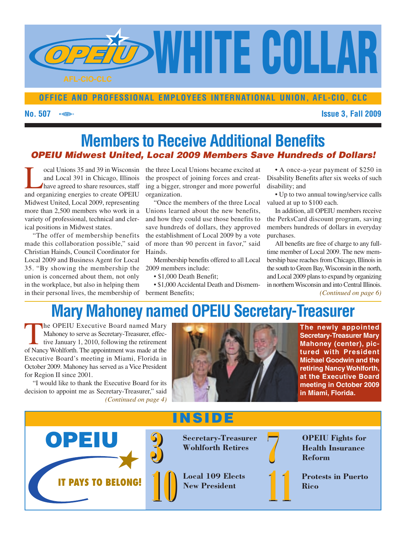

### **OFFICE AND PROFESSIONAL EMPLOYEES INTERNATIONAL UNION, AFL-CIO, CLC**

#### **No. 507 Issue 3, Fall 2009**

## **Members to Receive Additional Benefits** *OPEIU Midwest United, Local 2009 Members Save Hundreds of Dollars!*

Tocal Unions 35 and 39 in Wisconsin<br>and Local 391 in Chicago, Illinois<br>have agreed to share resources, staff<br>and organizing energies to create OPEIII and Local 391 in Chicago, Illinois have agreed to share resources, staff and organizing energies to create OPEIU Midwest United, Local 2009, representing more than 2,500 members who work in a variety of professional, technical and clerical positions in Midwest states.

"The offer of membership benefits made this collaboration possible," said Christian Hainds, Council Coordinator for Local 2009 and Business Agent for Local 35. "By showing the membership the 2009 members include: union is concerned about them, not only in the workplace, but also in helping them in their personal lives, the membership of *berment Benefits*; (*Continued on page 6*)

the three Local Unions became excited at the prospect of joining forces and creating a bigger, stronger and more powerful organization.

"Once the members of the three Local Unions learned about the new benefits, and how they could use those benefits to save hundreds of dollars, they approved the establishment of Local 2009 by a vote of more than 90 percent in favor," said Hainds.

Membership benefits offered to all Local

• \$1,000 Death Benefit:

• \$1,000 Accidental Death and Dismemberment Benefits;

• A once-a-year payment of \$250 in Disability Benefits after six weeks of such disability; and

• Up to two annual towing/service calls valued at up to \$100 each.

In addition, all OPEIU members receive the PerksCard discount program, saving members hundreds of dollars in everyday purchases.

All benefits are free of charge to any fulltime member of Local 2009. The new membership base reaches from Chicago, Illinois in the south to Green Bay, Wisconsin in the north, and Local 2009 plans to expand by organizing in northern Wisconsin and into Central Illinois.

# **Mary Mahoney named OPEIU Secretary-Treasurer**

The OPEIU Executive Board named Mary<br>Mahoney to serve as Secretary-Treasurer, effec-<br>tive January 1, 2010, following the retirement<br>of Nancy Wohlforth The appointment was made at the Mahoney to serve as Secretary-Treasurer, effective January 1, 2010, following the retirement of Nancy Wohlforth. The appointment was made at the Executive Board's meeting in Miami, Florida in October 2009. Mahoney has served as a Vice President for Region II since 2001.

"I would like to thank the Executive Board for its decision to appoint me as Secretary-Treasurer," said *(Continued on page 4)*



**The newly appointed Secretary-Treasurer Mary Mahoney (center), pictured with President Michael Goodwin and the retiring Nancy Wohlforth, at the Executive Board meeting in October 2009 in Miami, Florida.**

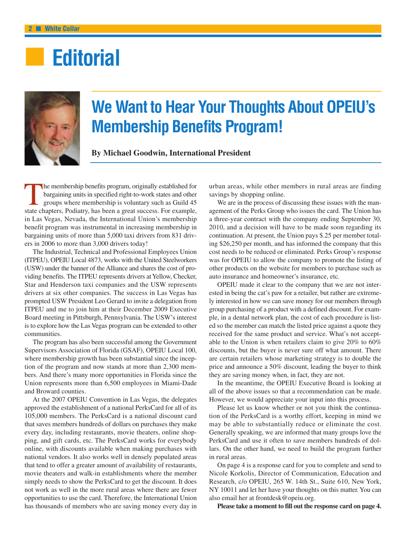# **■ Editorial**



# **We Want to Hear Your Thoughts About OPEIU's Membership Benefits Program!**

**By Michael Goodwin, International President**

The membership benefits program, originally established for<br>bargaining units in specified right-to-work states and other<br>groups where membership is voluntary such as Guild 45<br>state chapters. Podiatry, has been a great succ bargaining units in specified right-to-work states and other groups where membership is voluntary such as Guild 45 state chapters, Podiatry, has been a great success. For example, in Las Vegas, Nevada, the International Union's membership benefit program was instrumental in increasing membership in bargaining units of more than 5,000 taxi drivers from 831 drivers in 2006 to more than 3,000 drivers today!

The Industrial, Technical and Professional Employees Union (ITPEU), OPEIU Local 4873, works with the United Steelworkers (USW) under the banner of the Alliance and shares the cost of providing benefits. The ITPEU represents drivers at Yellow, Checker, Star and Henderson taxi companies and the USW represents drivers at six other companies. The success in Las Vegas has prompted USW President Leo Gerard to invite a delegation from ITPEU and me to join him at their December 2009 Executive Board meeting in Pittsburgh, Pennsylvania. The USW's interest is to explore how the Las Vegas program can be extended to other communities.

The program has also been successful among the Government Supervisors Association of Florida (GSAF), OPEIU Local 100, where membership growth has been substantial since the inception of the program and now stands at more than 2,300 members. And there's many more opportunities in Florida since the Union represents more than 6,500 employees in Miami-Dade and Broward counties.

At the 2007 OPEIU Convention in Las Vegas, the delegates approved the establishment of a national PerksCard for all of its 105,000 members. The PerksCard is a national discount card that saves members hundreds of dollars on purchases they make every day, including restaurants, movie theaters, online shopping, and gift cards, etc. The PerksCard works for everybody online, with discounts available when making purchases with national vendors. It also works well in densely populated areas that tend to offer a greater amount of availability of restaurants, movie theaters and walk-in establishments where the member simply needs to show the PerksCard to get the discount. It does not work as well in the more rural areas where there are fewer opportunities to use the card. Therefore, the International Union has thousands of members who are saving money every day in

urban areas, while other members in rural areas are finding savings by shopping online.

We are in the process of discussing these issues with the management of the Perks Group who issues the card. The Union has a three-year contract with the company ending September 30, 2010, and a decision will have to be made soon regarding its continuation. At present, the Union pays \$.25 per member totaling \$26,250 per month, and has informed the company that this cost needs to be reduced or eliminated. Perks Group's response was for OPEIU to allow the company to promote the listing of other products on the website for members to purchase such as auto insurance and homeowner's insurance, etc.

OPEIU made it clear to the company that we are not interested in being the cat's paw for a retailer, but rather are extremely interested in how we can save money for our members through group purchasing of a product with a defined discount. For example, in a dental network plan, the cost of each procedure is listed so the member can match the listed price against a quote they received for the same product and service. What's not acceptable to the Union is when retailers claim to give 20% to 60% discounts, but the buyer is never sure off what amount. There are certain retailers whose marketing strategy is to double the price and announce a 50% discount, leading the buyer to think they are saving money when, in fact, they are not.

In the meantime, the OPEIU Executive Board is looking at all of the above issues so that a recommendation can be made. However, we would appreciate your input into this process.

Please let us know whether or not you think the continuation of the PerksCard is a worthy effort, keeping in mind we may be able to substantially reduce or eliminate the cost. Generally speaking, we are informed that many groups love the PerksCard and use it often to save members hundreds of dollars. On the other hand, we need to build the program further in rural areas.

On page 4 is a response card for you to complete and send to Nicole Korkolis, Director of Communication, Education and Research, c/o OPEIU, 265 W. 14th St., Suite 610, New York, NY 10011 and let her have your thoughts on this matter. You can also email her at frontdesk@opeiu.org.

**Please take a moment to fill out the response card on page 4.**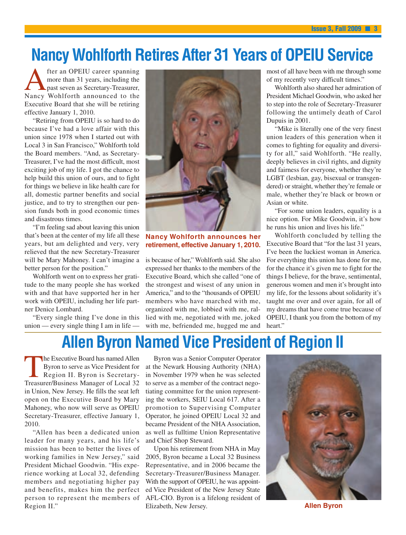# **Nancy Wohlforth Retires After 31 Years of OPEIU Service**

fter an OPEIU career spanning more than 31 years, including the past seven as Secretary-Treasurer, Nancy Wohlforth announced to the Executive Board that she will be retiring effective January 1, 2010.

"Retiring from OPEIU is so hard to do because I've had a love affair with this union since 1978 when I started out with Local 3 in San Francisco," Wohlforth told the Board members. "And, as Secretary-Treasurer, I've had the most difficult, most exciting job of my life. I got the chance to help build this union of ours, and to fight for things we believe in like health care for all, domestic partner benefits and social justice, and to try to strengthen our pension funds both in good economic times and disastrous times.

"I'm feeling sad about leaving this union that's been at the center of my life all these years, but am delighted and very, very relieved that the new Secretary-Treasurer will be Mary Mahoney. I can't imagine a better person for the position."

Wohlforth went on to express her gratitude to the many people she has worked with and that have supported her in her work with OPEIU, including her life partner Denice Lombard.

"Every single thing I've done in this union — every single thing I am in life —



#### **Nancy Wohlforth announces her retirement, effective January 1, 2010.**

is because of her," Wohlforth said. She also expressed her thanks to the members of the Executive Board, which she called "one of the strongest and wisest of any union in America," and to the "thousands of OPEIU members who have marched with me, organized with me, lobbied with me, rallied with me, negotiated with me, joked with me, befriended me, hugged me and most of all have been with me through some of my recently very difficult times."

Wohlforth also shared her admiration of President Michael Goodwin, who asked her to step into the role of Secretary-Treasurer following the untimely death of Carol Dupuis in 2001.

"Mike is literally one of the very finest union leaders of this generation when it comes to fighting for equality and diversity for all," said Wohlforth. "He really, deeply believes in civil rights, and dignity and fairness for everyone, whether they're LGBT (lesbian, gay, bisexual or transgendered) or straight, whether they're female or male, whether they're black or brown or Asian or white.

"For some union leaders, equality is a nice option. For Mike Goodwin, it's how he runs his union and lives his life."

Wohlforth concluded by telling the Executive Board that "for the last 31 years, I've been the luckiest woman in America. For everything this union has done for me, for the chance it's given me to fight for the things I believe, for the brave, sentimental, generous women and men it's brought into my life, for the lessons about solidarity it's taught me over and over again, for all of my dreams that have come true because of OPEIU, I thank you from the bottom of my heart."

## **Allen Byron Named Vice President of Region II**

The Executive Board has named Allen<br>Byron to serve as Vice President for<br>Region II. Byron is Secretary-<br>Treasurer/Business Manager of Local 32 Byron to serve as Vice President for Region II. Byron is Secretary-Treasurer/Business Manager of Local 32 in Union, New Jersey. He fills the seat left open on the Executive Board by Mary Mahoney, who now will serve as OPEIU Secretary-Treasurer, effective January 1, 2010.

"Allen has been a dedicated union leader for many years, and his life's mission has been to better the lives of working families in New Jersey," said President Michael Goodwin. "His experience working at Local 32, defending members and negotiating higher pay and benefits, makes him the perfect person to represent the members of Region II."

Byron was a Senior Computer Operator at the Newark Housing Authority (NHA) in November 1979 when he was selected to serve as a member of the contract negotiating committee for the union representing the workers, SEIU Local 617. After a promotion to Supervising Computer Operator, he joined OPEIU Local 32 and became President of the NHA Association, as well as fulltime Union Representative and Chief Shop Steward.

Upon his retirement from NHA in May 2005, Byron became a Local 32 Business Representative, and in 2006 became the Secretary-Treasurer/Business Manager. With the support of OPEIU, he was appointed Vice President of the New Jersey State AFL-CIO. Byron is a lifelong resident of Elizabeth, New Jersey. **Allen Byron**

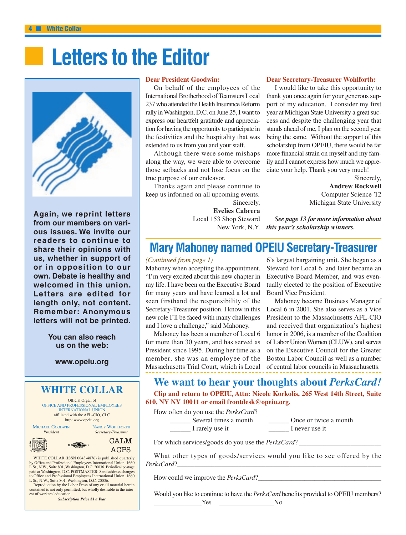# **Letters to the Editor**



**Again, we reprint letters from our members on various issues. We invite our readers to continue to share their opinions with us, whether in support of** or in opposition to our **own. Debate is healthy and welcomed in this union.** Letters are edited for **length only, not content. Remember: Anonymous letters will not be printed.**

> **You can also reach us on the web:**

#### **www.opeiu.org**

### **WHITE COLLAR**

Official Organ of OFFICE AND PROFESSIONAL EMPLOYEES INTERNATIONAL UNION affiliated with the AFL-CIO, CLC http: www.opeiu.org

MICHAEL GOODWIN NANCY WOHLFORTH<br>President Secretary-Treasurer *President Secretary-Treasurer*

 $\circ \bigoplus$ 

CALM<sub>M</sub> ACPS

WHITE COLLAR (ISSN 0043-4876) is published quarterly by Office and Professional Employees International Union, 1660 L St., N.W., Suite 801, Washington, D.C. 20036. Periodical postage paid at Washington, D.C. POSTMASTER: Send address changes to Office and Professional Employees International Union, 1660 L St., N.W., Suite 801, Washington, D.C. 20036.

Reproduction by the Labor Press of any or all material herein contained is not only permitted, but wholly desirable in the inter-est of workers' education.

*Subscription Price \$1 a Year*

#### **Dear President Goodwin:**

On behalf of the employees of the International Brotherhood of Teamsters Local 237 who attended the Health Insurance Reform rally inWashington, D.C. on June 25, I want to express our heartfelt gratitude and appreciation for having the opportunity to participate in the festivities and the hospitality that was extended to us from you and your staff.

Although there were some mishaps along the way, we were able to overcome those setbacks and not lose focus on the true purpose of our endeavor.

Thanks again and please continue to keep us informed on all upcoming events. Sincerely, **Evelies Cabrera** Local 153 Shop Steward **Dear Secretary-Treasurer Wohlforth:** I would like to take this opportunity to

thank you once again for your generous support of my education. I consider my first year at Michigan State University a great success and despite the challenging year that stands ahead of me, I plan on the second year being the same. Without the support of this scholarship from OPEIU, there would be far more financial strain on myself and my family and I cannot express how much we appreciate your help. Thank you very much!

> Sincerely, **Andrew Rockwell** Computer Science '12 Michigan State University

New York, N.Y. *this year's scholarship winners. See page 13 for more information about*

## **Mary Mahoney named OPEIU Secretary-Treasurer**

#### *(Continued from page 1)*

Mahoney when accepting the appointment. "I'm very excited about this new chapter in my life. I have been on the Executive Board for many years and have learned a lot and seen firsthand the responsibility of the Secretary-Treasurer position. I know in this new role I'll be faced with many challenges and I love a challenge," said Mahoney.

Mahoney has been a member of Local 6 for more than 30 years, and has served as President since 1995. During her time as a member, she was an employee of the Massachusetts Trial Court, which is Local

6's largest bargaining unit. She began as a Steward for Local 6, and later became an Executive Board Member, and was eventually elected to the position of Executive Board Vice President.

Mahoney became Business Manager of Local 6 in 2001. She also serves as a Vice President to the Massachusetts AFL-CIO and received that organization's highest honor in 2006, is a member of the Coalition of Labor UnionWomen (CLUW), and serves on the Executive Council for the Greater Boston Labor Council as well as a number of central labor councils in Massachusetts.

### **We want to hear your thoughts about** *PerksCard!*

**Clip and return to OPEIU, Attn: Nicole Korkolis, 265 West 14th Street, Suite 610, NY NY 10011 or email frontdesk@opeiu.org.**

How often do you use the *PerksCard*?

\_\_\_\_\_\_ I rarely use it \_\_\_\_\_\_ I never use it

Lackground Several times a month and  $\frac{1}{2}$  Once or twice a month

For which services/goods do you use the *PerksCard*?

What other types of goods/services would you like to see offered by the *PerksCard*?

How could we improve the *PerksCard*?

Would you like to continue to have the *PerksCard* benefits provided to OPEIU members? \_\_\_\_\_\_\_\_\_\_\_\_\_\_Yes \_\_\_\_\_\_\_\_\_\_\_\_\_\_\_\_No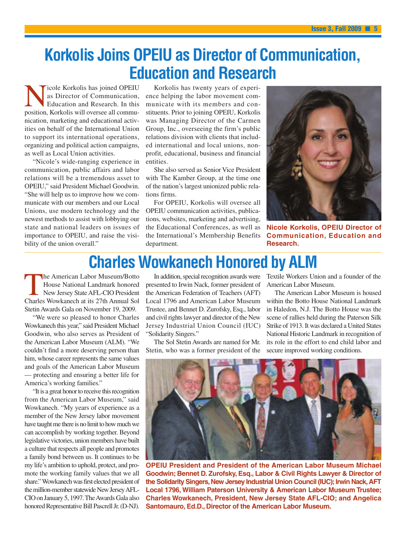## **Korkolis Joins OPEIU as Director of Communication, Education and Research**

icole Korkolis has joined OPEIU as Director of Communication, Education and Research. In this position, Korkolis will oversee all communication, marketing and educational activities on behalf of the International Union to support its international operations, organizing and political action campaigns, as well as Local Union activities.

"Nicole's wide-ranging experience in communication, public affairs and labor relations will be a tremendous asset to OPEIU," said President Michael Goodwin. "She will help us to improve how we communicate with our members and our Local Unions, use modern technology and the newest methods to assist with lobbying our state and national leaders on issues of importance to OPEIU, and raise the visibility of the union overall."

Korkolis has twenty years of experience helping the labor movement communicate with its members and constituents. Prior to joining OPEIU, Korkolis was Managing Director of the Carmen Group, Inc., overseeing the firm's public relations division with clients that included international and local unions, nonprofit, educational, business and financial entities.

She also served as Senior Vice President with The Kamber Group, at the time one of the nation's largest unionized public relations firms.

For OPEIU, Korkolis will oversee all OPEIU communication activities, publications, websites, marketing and advertising, the Educational Conferences, as well as the International's Membership Benefits department.



**Nicole Korkolis, OPEIU Director of Communication, Education and Research.**

# **Charles Wowkanech Honored by ALM**

The American Labor Museum/Botto<br>House National Landmark honored<br>New Jersey State AFL-CIO President<br>Charles Wowkanech at its 27th Annual Sol House National Landmark honored New Jersey State AFL-CIO President Charles Wowkanech at its 27th Annual Sol Stetin Awards Gala on November 19, 2009.

"We were so pleased to honor Charles Wowkanech this year," said President Michael Goodwin, who also serves as President of the American Labor Museum (ALM). "We couldn't find a more deserving person than him, whose career represents the same values and goals of the American Labor Museum — protecting and ensuring a better life for America's working families."

"It is a great honor to receive this recognition from the American Labor Museum," said Wowkanech. "My years of experience as a member of the New Jersey labor movement have taught me there is no limit to how much we can accomplish by working together. Beyond legislative victories, union members have built a culture that respects all people and promotes a family bond between us. It continues to be my life's ambition to uphold, protect, and promote the working family values that we all share." Wowkanech was first elected president of the million-member statewide New JerseyAFL-CIO on January 5, 1997.TheAwards Gala also honored Representative Bill Pascrell Jr. (D-NJ).

In addition, special recognition awards were presented to Irwin Nack, former president of the American Federation of Teachers (AFT) Local 1796 and American Labor Museum Trustee, and Bennet D. Zurofsky, Esq., labor and civil rights lawyer and director of the New Jersey Industrial Union Council (IUC) "Solidarity Singers."

The Sol Stetin Awards are named for Mr. Stetin, who was a former president of the Textile Workers Union and a founder of the American Labor Museum.

The American Labor Museum is housed within the Botto House National Landmark in Haledon, N.J. The Botto House was the scene of rallies held during the Paterson Silk Strike of 1913. It was declared a United States National Historic Landmark in recognition of its role in the effort to end child labor and secure improved working conditions.



**OPEIU President and President of the American Labor Museum Michael Goodwin; Bennet D. Zurofsky, Esq., Labor & Civil Rights Lawyer & Director of** the Solidarity Singers, New Jersey Industrial Union Council (IUC); Irwin Nack, AFT **Local 1796, William Paterson University & American Labor Museum Trustee; Charles Wowkanech, President, New Jersey State AFL-CIO; and Angelica Santomauro, Ed.D., Director of the American Labor Museum.**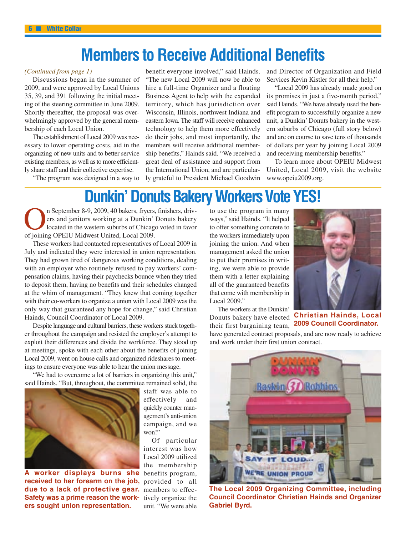## **Members to Receive Additional Benefits**

#### *(Continued from page 1)*

Discussions began in the summer of 2009, and were approved by Local Unions 35, 39, and 391 following the initial meeting of the steering committee in June 2009. Shortly thereafter, the proposal was overwhelmingly approved by the general membership of each Local Union.

The establishment of Local 2009 was necessary to lower operating costs, aid in the organizing of new units and to better service existing members, as well as to more efficiently share staff and their collective expertise.

"The program was designed in a way to

benefit everyone involved," said Hainds. "The new Local 2009 will now be able to hire a full-time Organizer and a floating Business Agent to help with the expanded territory, which has jurisdiction over Wisconsin, Illinois, northwest Indiana and eastern Iowa. The staff will receive enhanced technology to help them more effectively do their jobs, and most importantly, the members will receive additional membership benefits," Hainds said. "We received a great deal of assistance and support from the International Union, and are particularly grateful to President Michael Goodwin

and Director of Organization and Field Services Kevin Kistler for all their help."

"Local 2009 has already made good on its promises in just a five-month period," said Hainds. "We have already used the benefit program to successfully organize a new unit, a Dunkin' Donuts bakery in the western suburbs of Chicago (full story below) and are on course to save tens of thousands of dollars per year by joining Local 2009 and receiving membership benefits."

To learn more about OPEIU Midwest United, Local 2009, visit the website www.opeiu2009.org.

## **Dunkin' Donuts Bakery Workers Vote YES!**

n September 8-9, 2009, 40 bakers, fryers, finishers, drivers and janitors working at a Dunkin' Donuts bakery located in the western suburbs of Chicago voted in favor of joining OPEIU Midwest United, Local 2009.

These workers had contacted representatives of Local 2009 in July and indicated they were interested in union representation. They had grown tired of dangerous working conditions, dealing with an employer who routinely refused to pay workers' compensation claims, having their paychecks bounce when they tried to deposit them, having no benefits and their schedules changed at the whim of management. "They knew that coming together with their co-workers to organize a union with Local 2009 was the only way that guaranteed any hope for change," said Christian Hainds, Council Coordinator of Local 2009.

Despite language and cultural barriers, these workers stuck together throughout the campaign and resisted the employer's attempt to exploit their differences and divide the workforce. They stood up at meetings, spoke with each other about the benefits of joining Local 2009, went on house calls and organized rideshares to meetings to ensure everyone was able to hear the union message.

"We had to overcome a lot of barriers in organizing this unit," said Hainds. "But, throughout, the committee remained solid, the



A worker displays burns she benefits program, **received to her forearm on the job,** provided to all due to a lack of protective gear. members to effec-Safety was a prime reason the work- tively organize the **ers sought union representation.**

staff was able to effectively and quickly counter management's anti-union campaign, and we won!"

Of particular interest was how Local 2009 utilized the membership unit. "We were able

to use the program in many ways," said Hainds. "It helped to offer something concrete to the workers immediately upon joining the union. And when management asked the union to put their promises in writing, we were able to provide them with a letter explaining all of the guaranteed benefits that come with membership in Local 2009."

The workers at the Dunkin' Donuts bakery have elected their first bargaining team,



**Christian Hainds, Local 2009 Council Coordinator.**

have generated contract proposals, and are now ready to achieve and work under their first union contract.



**The Local 2009 Organizing Committee, including Council Coordinator Christian Hainds and Organizer Gabriel Byrd.**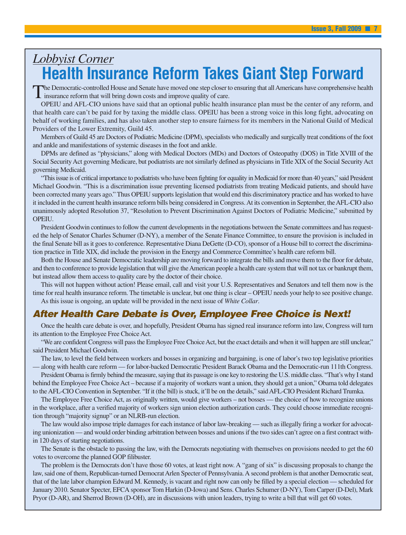## *Lobbyist Corner* **Health Insurance Reform Takes Giant Step Forward**

The Democratic-controlled House and Senate have moved one step closer to ensuring that all Americans have comprehensive health insurance reform that will bring down costs and improve quality of care.

OPEIU and AFL-CIO unions have said that an optional public health insurance plan must be the center of any reform, and that health care can't be paid for by taxing the middle class. OPEIU has been a strong voice in this long fight, advocating on behalf of working families, and has also taken another step to ensure fairness for its members in the National Guild of Medical Providers of the Lower Extremity, Guild 45.

Members of Guild 45 are Doctors of Podiatric Medicine (DPM), specialists who medically and surgically treat conditions of the foot and ankle and manifestations of systemic diseases in the foot and ankle.

DPMs are defined as "physicians," along with Medical Doctors (MDs) and Doctors of Osteopathy (DOS) in Title XVIII of the Social Security Act governing Medicare, but podiatrists are not similarly defined as physicians in Title XIX of the Social Security Act governing Medicaid.

"This issue is of critical importance to podiatrists who have been fighting for equality in Medicaid for more than 40 years," said President Michael Goodwin. "This is a discrimination issue preventing licensed podiatrists from treating Medicaid patients, and should have been corrected many years ago." Thus OPEIU supports legislation that would end this discriminatory practice and has worked to have it included in the current health insurance reform bills being considered in Congress.At its convention in September, theAFL-CIO also unanimously adopted Resolution 37, "Resolution to Prevent Discrimination Against Doctors of Podiatric Medicine," submitted by OPEIU.

President Goodwin continues to follow the current developments in the negotiations between the Senate committees and has requested the help of Senator Charles Schumer (D-NY), a member of the Senate Finance Committee, to ensure the provision is included in the final Senate bill as it goes to conference. Representative Diana DeGette (D-CO), sponsor of a House bill to correct the discrimination practice in Title XIX, did include the provision in the Energy and Commerce Committee's health care reform bill.

Both the House and Senate Democratic leadership are moving forward to integrate the bills and move them to the floor for debate, and then to conference to provide legislation that will give theAmerican people a health care system that will not tax or bankrupt them, but instead allow them access to quality care by the doctor of their choice.

This will not happen without action! Please email, call and visit your U.S. Representatives and Senators and tell them now is the time for real health insurance reform. The timetable is unclear, but one thing is clear – OPEIU needs your help to see positive change. As this issue is ongoing, an update will be provided in the next issue of *White Collar*.

### *After Health Care Debate is Over, Employee Free Choice is Next!*

Once the health care debate is over, and hopefully, President Obama has signed real insurance reform into law, Congress will turn its attention to the Employee Free Choice Act.

"We are confident Congress will pass the Employee Free Choice Act, but the exact details and when it will happen are still unclear," said President Michael Goodwin.

The law, to level the field between workers and bosses in organizing and bargaining, is one of labor's two top legislative priorities — along with health care reform — for labor-backed Democratic President Barack Obama and the Democratic-run 111th Congress.

President Obama is firmly behind the measure, saying that its passage is one key to restoring the U.S. middle class. "That's why I stand behind the Employee Free Choice Act – because if a majority of workers want a union, they should get a union," Obama told delegates to the AFL-CIO Convention in September. "If it (the bill) is stuck, it'll be on the details," said AFL-CIO President Richard Trumka.

The Employee Free Choice Act, as originally written, would give workers – not bosses — the choice of how to recognize unions in the workplace, after a verified majority of workers sign union election authorization cards. They could choose immediate recognition through "majority signup" or an NLRB-run election.

The law would also impose triple damages for each instance of labor law-breaking — such as illegally firing a worker for advocating unionization — and would order binding arbitration between bosses and unions if the two sides can't agree on a first contract within 120 days of starting negotiations.

The Senate is the obstacle to passing the law, with the Democrats negotiating with themselves on provisions needed to get the 60 votes to overcome the planned GOP filibuster.

The problem is the Democrats don't have those 60 votes, at least right now. A "gang of six" is discussing proposals to change the law, said one of them, Republican-turned DemocratArlen Specter of Pennsylvania.A second problem is that another Democratic seat, that of the late labor champion Edward M. Kennedy, is vacant and right now can only be filled by a special election — scheduled for January 2010. Senator Specter, EFCA sponsor Tom Harkin (D-Iowa) and Sens. Charles Schumer (D-NY), Tom Carper (D-Del), Mark Pryor (D-AR), and Sherrod Brown (D-OH), are in discussions with union leaders, trying to write a bill that will get 60 votes.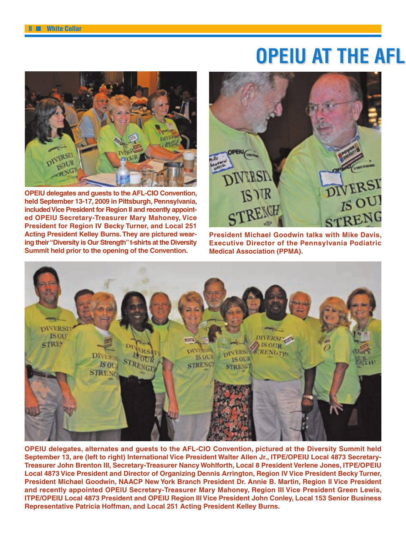# **OPEIU AT THE AFL**



**OPEIU delegates and guests to the AFL-CIO Convention, held September 13-17, 2009 in Pittsburgh, Pennsylvania,** included Vice President for Region II and recently appoint**ed OPEIU Secretary-Treasurer Mary Mahoney, Vice President for Region IV Becky Turner, and Local 251 Acting President Kelley Burns. They are pictured wearing their "Diversity is Our Strength" t-shirts at the Diversity Summit held prior to the opening of the Convention.**



**President Michael Goodwin talks with Mike Davis, Executive Director of the Pennsylvania Podiatric Medical Association (PPMA).**



**OPEIU delegates, alternates and guests to the AFL-CIO Convention, pictured at the Diversity Summit held September 13, are (left to right) International Vice President Walter Allen Jr., ITPE/OPEIU Local 4873 Secretary-Treasurer John Brenton III, Secretary-Treasurer Nancy Wohlforth, Local 8 President Verlene Jones, ITPE/OPEIU Local 4873 Vice President and Director of Organizing Dennis Arrington, Region IV Vice President Becky Turner, President Michael Goodwin, NAACP New York Branch President Dr. Annie B. Martin, Region II Vice President and recently appointed OPEIU Secretary-Treasurer Mary Mahoney, Region III Vice President Green Lewis, ITPE/OPEIU Local 4873 President and OPEIU Region III Vice President John Conley, Local 153 Senior Business Representative Patricia Hoffman, and Local 251 Acting President Kelley Burns.**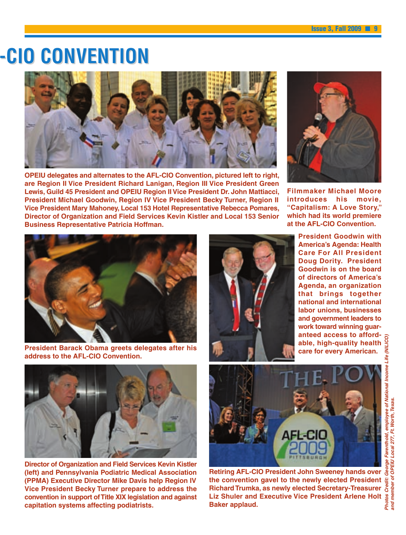# **-CIO C ONVENTION ONVENTION**



**OPEIU delegates and alternates to the AFL-CIO Convention, pictured left to right, are Region II Vice President Richard Lanigan, Region III Vice President Green Lewis, Guild 45 President and OPEIU Region II Vice President Dr. John Mattiacci, President Michael Goodwin, Region IV Vice President Becky Turner, Region II Vice President Mary Mahoney, Local 153 Hotel Representative Rebecca Pomares, Director of Organization and Field Services Kevin Kistler and Local 153 Senior Business Representative Patricia Hoffman.**



**Filmmaker Michael Moore introduces his movie, "Capitalism: A Love Story," which had its world premiere at the AFL-CIO Convention.**



**President Barack Obama greets delegates after his address to the AFL-CIO Convention.**



**President Goodwin with America's Agenda: Health Care For All President Doug Dority. President Goodwin is on the board of directors of America's Agenda, an organization that brings together national and international labor unions, businesses and government leaders to work toward winning guaranteed access to affordable, high-quality health care for every American.**



**Director of Organization and Field Services Kevin Kistler (left) and Pennsylvania Podiatric Medical Association (PPMA) Executive Director Mike Davis help Region IV Vice President Becky Turner prepare to address the convention in support ofTitle XIX legislation and against capitation systems affecting podiatrists.**



**Retiring AFL-CIO President John Sweeney hands over the convention gavel to the newly elected President Richard Trumka, as newly elected Secretary-Treasurer Liz Shuler and Executive Vice President Arlene Holt Baker applaud.**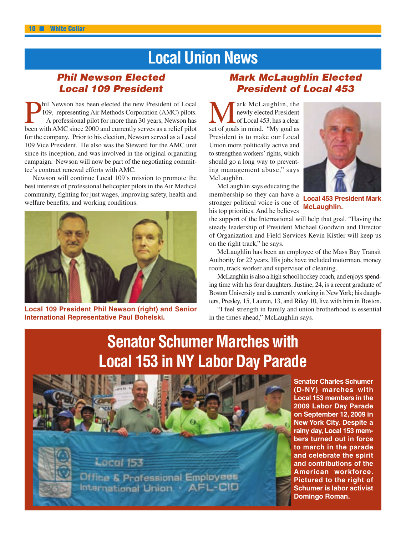# **Local Union News**

### *Phil Newson Elected Local 109 President*

**Phil Newson has been elected the new President of Local** 109, representing Air Methods Corporation (AMC) pilots. A professional pilot for more than 30 years, Newson has been with AMC since 2000 and currently serves as a r 109, representing Air Methods Corporation (AMC) pilots. A professional pilot for more than 30 years, Newson has been with AMC since 2000 and currently serves as a relief pilot for the company. Prior to his election, Newson served as a Local 109 Vice President. He also was the Steward for the AMC unit since its inception, and was involved in the original organizing campaign. Newson will now be part of the negotiating committee's contract renewal efforts with AMC.

Newson will continue Local 109's mission to promote the best interests of professional helicopter pilots in the Air Medical community, fighting for just wages, improving safety, health and welfare benefits, and working conditions.



**Local 109 President Phil Newson (right) and Senior International Representative Paul Bohelski.**

### *Mark McLaughlin Elected President of Local 453*

**Mark McLaughlin, the** newly elected President set of goals in mind. "My goal as newly elected President of Local 453, has a clear President is to make our Local Union more politically active and to strengthen workers' rights, which should go a long way to preventing management abuse," says McLaughlin.



McLaughlin says educating the membership so they can have a stronger political voice is one of his top priorities. And he believes

**Local 453 President Mark McLaughlin.**

the support of the International will help that goal. "Having the steady leadership of President Michael Goodwin and Director of Organization and Field Services Kevin Kistler will keep us on the right track," he says.

McLaughlin has been an employee of the Mass Bay Transit Authority for 22 years. His jobs have included motorman, money room, track worker and supervisor of cleaning.

McLaughlin is also a high school hockey coach, and enjoys spending time with his four daughters. Justine, 24, is a recent graduate of Boston University and is currently working in NewYork; his daughters, Presley, 15, Lauren, 13, and Riley 10, live with him in Boston.

"I feel strength in family and union brotherhood is essential in the times ahead," McLaughlin says.

# **Senator Schumer Marches with Local 153 in NY Labor Day Parade**



**Senator Charles Schumer (D-NY) marches with Local 153 members in the 2009 Labor Day Parade on September 12, 2009 in New York City. Despite a rainy day, Local 153 members turned out in force to march in the parade and celebrate the spirit and contributions of the American workforce. Pictured to the right of Schumer is labor activist Domingo Roman.**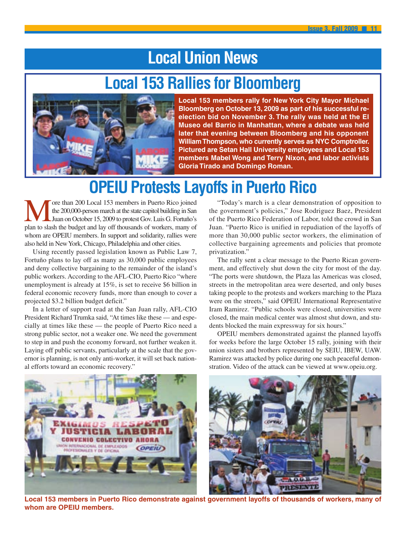# **Local Union News**

# **Local 153 Rallies for Bloomberg**



**Local 153 members rally for New York City Mayor Michael Bloomberg on October 13, 2009 as part of his successful reelection bid on November 3. The rally was held at the El Museo del Barrio in Manhattan, where a debate was held later that evening between Bloomberg and his opponent WilliamThompson, who currently serves as NYC Comptroller. Pictured are Setan Hall University employees and Local 153 members Mabel Wong and Terry Nixon, and labor activists Gloria Tirado and Domingo Roman.**

# **OPEIU Protests Layoffs in Puerto Rico**

ore than 200 Local 153 members in Puerto Rico joined the 200,000-person march at the state capitol building in San Juan on October 15, 2009 to protest Gov. Luis G. Fortuño's plan to slash the budget and lay off thousands of workers, many of whom are OPEIU members. In support and solidarity, rallies were also held in NewYork, Chicago, Philadelphia and other cities.

Using recently passed legislation known as Public Law 7, Fortuño plans to lay off as many as 30,000 public employees and deny collective bargaining to the remainder of the island's public workers. According to the AFL-CIO, Puerto Rico "where unemployment is already at 15%, is set to receive \$6 billion in federal economic recovery funds, more than enough to cover a projected \$3.2 billion budget deficit."

In a letter of support read at the San Juan rally, AFL-CIO President Richard Trumka said, "At times like these — and especially at times like these — the people of Puerto Rico need a strong public sector, not a weaker one. We need the government to step in and push the economy forward, not further weaken it. Laying off public servants, particularly at the scale that the governor is planning, is not only anti-worker, it will set back national efforts toward an economic recovery."

"Today's march is a clear demonstration of opposition to the government's policies," Jose Rodriguez Baez, President of the Puerto Rico Federation of Labor, told the crowd in San Juan. "Puerto Rico is unified in repudiation of the layoffs of more than 30,000 public sector workers, the elimination of collective bargaining agreements and policies that promote privatization."

The rally sent a clear message to the Puerto Rican government, and effectively shut down the city for most of the day. "The ports were shutdown, the Plaza las Americas was closed, streets in the metropolitan area were deserted, and only buses taking people to the protests and workers marching to the Plaza were on the streets," said OPEIU International Representative Iram Ramirez. "Public schools were closed, universities were closed, the main medical center was almost shut down, and students blocked the main expressway for six hours."

OPEIU members demonstrated against the planned layoffs for weeks before the large October 15 rally, joining with their union sisters and brothers represented by SEIU, IBEW, UAW. Ramirez was attacked by police during one such peaceful demonstration. Video of the attack can be viewed at www.opeiu.org.



**Local 153 members in Puerto Rico demonstrate against government layoffs of thousands of workers, many of whom are OPEIU members.**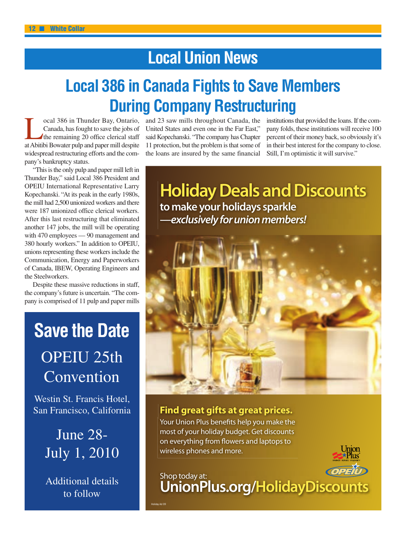# **Local Union News**

# **Local 386 in Canada Fights to Save Members During Company Restructuring**

ocal 386 in Thunder Bay, Ontario, Canada, has fought to save the jobs of the remaining 20 office clerical staff atAbitibi Bowater pulp and paper mill despite widespread restructuring efforts and the company's bankruptcy status.

"This is the only pulp and paper mill left in Thunder Bay," said Local 386 President and OPEIU International Representative Larry Kopechanski. "At its peak in the early 1980s, the mill had 2,500 unionized workers and there were 187 unionized office clerical workers. After this last restructuring that eliminated another 147 jobs, the mill will be operating with 470 employees — 90 management and 380 hourly workers." In addition to OPEIU, unions representing these workers include the Communication, Energy and Paperworkers of Canada, IBEW, Operating Engineers and the Steelworkers.

Despite these massive reductions in staff, the company's future is uncertain. "The company is comprised of 11 pulp and paper mills

# **Save the Date** OPEIU 25th Convention

Westin St. Francis Hotel, San Francisco, California

> June 28- July 1, 2010

Additional details to follow

Holiday Ad 09

and 23 saw mills throughout Canada, the United States and even one in the Far East," said Kopechanski. "The company has Chapter 11 protection, but the problem is that some of the loans are insured by the same financial institutions that provided the loans. If the company folds, these institutions will receive 100 percent of their money back, so obviously it's in their best interest for the company to close. Still, I'm optimistic it will survive."

**Holiday Deals and Discounts to make your holidays sparkle —exclusively for union members!**



### **Find great gifts at great prices.**

Your Union Plus benefits help you make the most of your holiday budget. Get discounts on everything from flowers and laptops to wireless phones and more.

## Shop today at: **UnionPlus.org/HolidayDiscounts**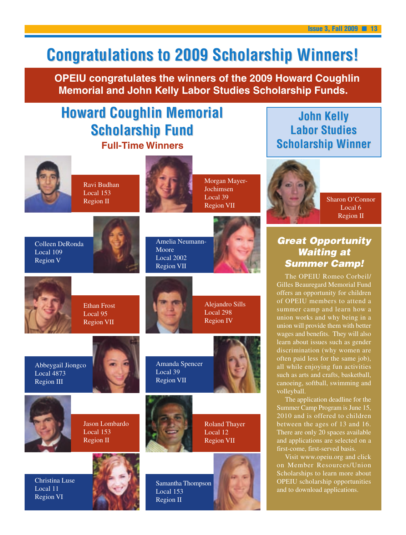# **Congratulations to 2009 Scholarship Winners!**

**OPEIU congratulates the winners of the 2009 Howard Coughlin Memorial and John Kelly Labor Studies Scholarship Funds.**

## **Full-Time Winners Howard Coughlin Memorial Scholarship Fund arship Fund**



Ravi Budhan Local 153 Region II

Ethan Frost Local 95 Region VII



Morgan Mayer-Jochimsen Local 39 Region VII





Amelia Neumann-Moore Local 2002 Region VII



**Labor Studies Scholarship Winner** 

**John Kel John Kelly**

*Great Opportunity Waiting at Summer Camp!* The OPEIU Romeo Corbeil/ Gilles Beauregard Memorial Fund offers an opportunity for children of OPEIU members to attend a summer camp and learn how a union works and why being in a

Sharon O'Connor Local 6 Region II

# Colleen DeRonda





Alejandro Sills Local 298 Region IV



Abbeygail Jiongco Local 4873 Region III



Amanda Spencer

Local 39 Region VII



Roland Thayer Local 12 Region VII









The application deadline for the Summer Camp Program is June 15, 2010 and is offered to children between the ages of 13 and 16. There are only 20 spaces available and applications are selected on a first-come, first-served basis.

Visit www.opeiu.org and click on Member Resources/Union Scholarships to learn more about OPEIU scholarship opportunities and to download applications.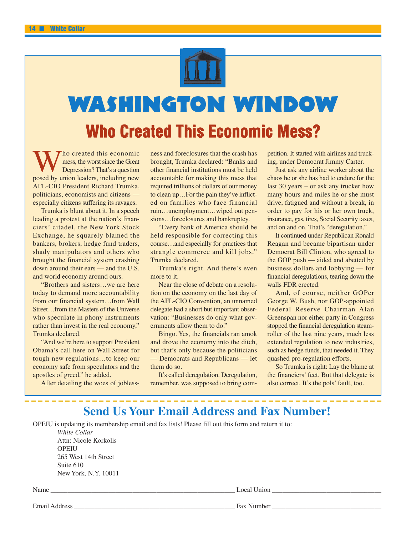

# **Washington Window**

# **Who Created This Economic Mess?**

Who created this economic<br>
posed by union leaders, including new mess, the worst since the Great Depression? That's a question AFL-CIO President Richard Trumka, politicians, economists and citizens especially citizens suffering its ravages.

Trumka is blunt about it. In a speech leading a protest at the nation's financiers' citadel, the New York Stock Exchange, he squarely blamed the bankers, brokers, hedge fund traders, shady manipulators and others who brought the financial system crashing down around their ears — and the U.S. and world economy around ours.

"Brothers and sisters…we are here today to demand more accountability from our financial system…from Wall Street…from the Masters of the Universe who speculate in phony instruments rather than invest in the real economy," Trumka declared.

"And we're here to support President Obama's call here on Wall Street for tough new regulations…to keep our economy safe from speculators and the apostles of greed," he added.

After detailing the woes of jobless-

ness and foreclosures that the crash has brought, Trumka declared: "Banks and other financial institutions must be held accountable for making this mess that required trillions of dollars of our money to clean up…For the pain they've inflicted on families who face financial ruin…unemployment…wiped out pensions…foreclosures and bankruptcy.

"Every bank of America should be held responsible for correcting this course…and especially for practices that strangle commerce and kill jobs," Trumka declared.

Trumka's right. And there's even more to it.

Near the close of debate on a resolution on the economy on the last day of the AFL-CIO Convention, an unnamed delegate had a short but important observation: "Businesses do only what governments allow them to do."

Bingo. Yes, the financials ran amok and drove the economy into the ditch, but that's only because the politicians — Democrats and Republicans — let them do so.

It's called deregulation. Deregulation, remember, was supposed to bring com-

petition. It started with airlines and trucking, under Democrat Jimmy Carter.

Just ask any airline worker about the chaos he or she has had to endure for the last 30 years – or ask any trucker how many hours and miles he or she must drive, fatigued and without a break, in order to pay for his or her own truck, insurance, gas, tires, Social Security taxes, and on and on. That's "deregulation."

It continued under Republican Ronald Reagan and became bipartisan under Democrat Bill Clinton, who agreed to the GOP push — aided and abetted by business dollars and lobbying — for financial deregulations, tearing down the walls FDR erected.

And, of course, neither GOPer George W. Bush, nor GOP-appointed Federal Reserve Chairman Alan Greenspan nor either party in Congress stopped the financial deregulation steamroller of the last nine years, much less extended regulation to new industries, such as hedge funds, that needed it. They quashed pro-regulation efforts.

So Trumka is right: Lay the blame at the financiers' feet. But that delegate is also correct. It's the pols' fault, too.

## **Send Us Your Email Address and Fax Number!**

OPEIU is updating its membership email and fax lists! Please fill out this form and return it to: *White Collar* Attn: Nicole Korkolis **OPEIU** 265 West 14th Street Suite 610 New York, N.Y. 10011 Name Local Union Local Union  $\Box$ 

Email Address **Email Address Example 20** Fax Number **Example 20** Fax Number **Example 20** Fax Number **Example 20** Fax Number **Example 20** Fax  $\frac{1}{2}$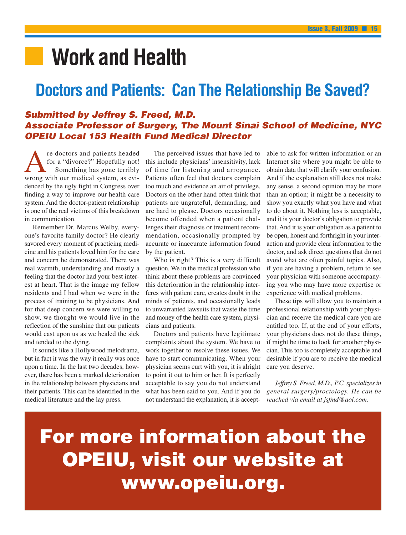# **■ Work and Health**

## **Doctors and Patients: Can The Relationship Be Saved?**

### *Submitted by Jeffrey S. Freed, M.D. Associate Professor of Surgery, The Mount Sinai School of Medicine, NYC OPEIU Local 153 Health Fund Medical Director*

re doctors and patients headed<br>for a "divorce?" Hopefully not!<br>Something has gone terribly<br>wrong with our medical system as evifor a "divorce?" Hopefully not! Something has gone terribly wrong with our medical system, as evidenced by the ugly fight in Congress over finding a way to improve our health care system. And the doctor-patient relationship is one of the real victims of this breakdown in communication.

Remember Dr. Marcus Welby, everyone's favorite family doctor? He clearly savored every moment of practicing medicine and his patients loved him for the care and concern he demonstrated. There was real warmth, understanding and mostly a feeling that the doctor had your best interest at heart. That is the image my fellow residents and I had when we were in the process of training to be physicians. And for that deep concern we were willing to show, we thought we would live in the reflection of the sunshine that our patients would cast upon us as we healed the sick and tended to the dying.

It sounds like a Hollywood melodrama, but in fact it was the way it really was once upon a time. In the last two decades, however, there has been a marked deterioration in the relationship between physicians and their patients. This can be identified in the medical literature and the lay press.

The perceived issues that have led to this include physicians' insensitivity, lack of time for listening and arrogance. Patients often feel that doctors complain too much and evidence an air of privilege. Doctors on the other hand often think that patients are ungrateful, demanding, and are hard to please. Doctors occasionally become offended when a patient challenges their diagnosis or treatment recommendation, occasionally prompted by accurate or inaccurate information found by the patient.

Who is right? This is a very difficult question. We in the medical profession who think about these problems are convinced this deterioration in the relationship interferes with patient care, creates doubt in the minds of patients, and occasionally leads to unwarranted lawsuits that waste the time and money of the health care system, physicians and patients.

Doctors and patients have legitimate complaints about the system. We have to work together to resolve these issues. We have to start communicating. When your physician seems curt with you, it is alright to point it out to him or her. It is perfectly acceptable to say you do not understand what has been said to you. And if you do not understand the explanation, it is acceptable to ask for written information or an Internet site where you might be able to obtain data that will clarify your confusion. And if the explanation still does not make any sense, a second opinion may be more than an option; it might be a necessity to show you exactly what you have and what to do about it. Nothing less is acceptable, and it is your doctor's obligation to provide that. And it is your obligation as a patient to be open, honest and forthright in your interaction and provide clear information to the doctor, and ask direct questions that do not avoid what are often painful topics. Also, if you are having a problem, return to see your physician with someone accompanying you who may have more expertise or experience with medical problems.

These tips will allow you to maintain a professional relationship with your physician and receive the medical care you are entitled too. If, at the end of your efforts, your physicians does not do these things, if might be time to look for another physician. This too is completely acceptable and desirable if you are to receive the medical care you deserve.

*Jeffrey S. Freed, M.D., P.C. specializes in general surgery/proctology. He can be reached via email at jsfmd@aol.com.* 

**For more information about the OPEIU, visit our website at www.opeiu.org.**